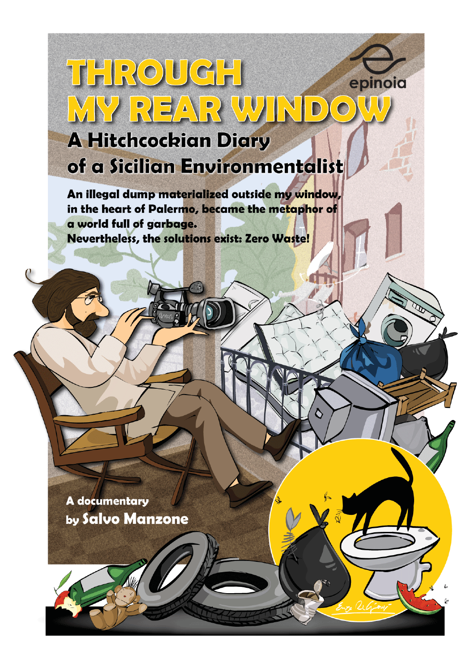# THROUGH epinoia MY REAR WIND  $\sqrt{\bigcirc}$ **A Hitchcockian Diary**

of a Sicilian Environmentalist

An illegal dump materialized outside my window, in the heart of Palermo, became the metaphor of a world full of garbage. Nevertheless, the solutions exist: Zero Waste!

A documentary by Salvo Manzone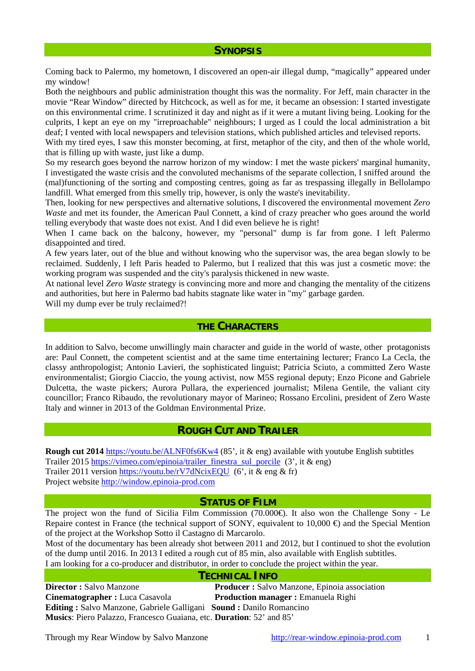## **SYNOPSIS**

Coming back to Palermo, my hometown, I discovered an open-air illegal dump, "magically" appeared under my window!

Both the neighbours and public administration thought this was the normality. For Jeff, main character in the movie "Rear Window" directed by Hitchcock, as well as for me, it became an obsession: I started investigate on this environmental crime. I scrutinized it day and night as if it were a mutant living being. Looking for the culprits, I kept an eye on my "irreproachable" neighbours; I urged as I could the local administration a bit deaf; I vented with local newspapers and television stations, which published articles and televised reports.

With my tired eyes, I saw this monster becoming, at first, metaphor of the city, and then of the whole world, that is filling up with waste, just like a dump.

So my research goes beyond the narrow horizon of my window: I met the waste pickers' marginal humanity, I investigated the waste crisis and the convoluted mechanisms of the separate collection, I sniffed around the (mal)functioning of the sorting and composting centres, going as far as trespassing illegally in Bellolampo landfill. What emerged from this smelly trip, however, is only the waste's inevitability.

Then, looking for new perspectives and alternative solutions, I discovered the environmental movement *Zero Waste* and met its founder, the American Paul Connett, a kind of crazy preacher who goes around the world telling everybody that waste does not exist. And I did even believe he is right!

When I came back on the balcony, however, my "personal" dump is far from gone. I left Palermo disappointed and tired.

A few years later, out of the blue and without knowing who the supervisor was, the area began slowly to be reclaimed. Suddenly, I left Paris headed to Palermo, but I realized that this was just a cosmetic move: the working program was suspended and the city's paralysis thickened in new waste.

At national level *Zero Waste* strategy is convincing more and more and changing the mentality of the citizens and authorities, but here in Palermo bad habits stagnate like water in "my" garbage garden.

Will my dump ever be truly reclaimed?!

#### **THE CHARACTERS**

In addition to Salvo, become unwillingly main character and guide in the world of waste, other protagonists are: Paul Connett, the competent scientist and at the same time entertaining lecturer; Franco La Cecla, the classy anthropologist; Antonio Lavieri, the sophisticated linguist; Patricia Sciuto, a committed Zero Waste environmentalist; Giorgio Ciaccio, the young activist, now M5S regional deputy; Enzo Picone and Gabriele Dulcetta, the waste pickers; Aurora Pullara, the experienced journalist; Milena Gentile, the valiant city councillor; Franco Ribaudo, the revolutionary mayor of Marineo; Rossano Ercolini, president of Zero Waste Italy and winner in 2013 of the Goldman Environmental Prize.

## **ROUGH CUT AND TRAILER**

**Rough cut 2014** <https://youtu.be/ALNF0fs6Kw4>(85', it & eng) available with youtube English subtitles Trailer 2015 [https://vimeo.com/epinoia/trailer\\_finestra\\_sul\\_porcile](https://vimeo.com/epinoia/trailer_finestra_sul_porcile) (3', it & eng) Trailer 2011 version<https://youtu.be/rV7dNcixEQU>(6', it & eng & fr) Project website [http://window.epinoia-prod.com](http://window.epinoia-prod.com/) 

#### **STATUS OF FILM**

The project won the fund of Sicilia Film Commission (70.000€). It also won the Challenge Sony - Le Repaire contest in France (the technical support of SONY, equivalent to  $10,000 \oplus$  and the Special Mention of the project at the Workshop Sotto il Castagno di Marcarolo.

Most of the documentary has been already shot between 2011 and 2012, but I continued to shot the evolution of the dump until 2016. In 2013 I edited a rough cut of 85 min, also available with English subtitles. I am looking for a co-producer and distributor, in order to conclude the project within the year.

#### **TECHNICAL INFO**

**Director :** Salvo Manzone **Producer :** Salvo Manzone, Epinoia association **Cinematographer :** Luca Casavola **Production manager :** Emanuela Righi **Editing :** Salvo Manzone, Gabriele Galligani **Sound :** Danilo Romancino **Musics**: Piero Palazzo, Francesco Guaiana, etc. **Duration**: 52' and 85'

Through my Rear Window by Salvo Manzone http://rear-window.epinoia-prod.com 1